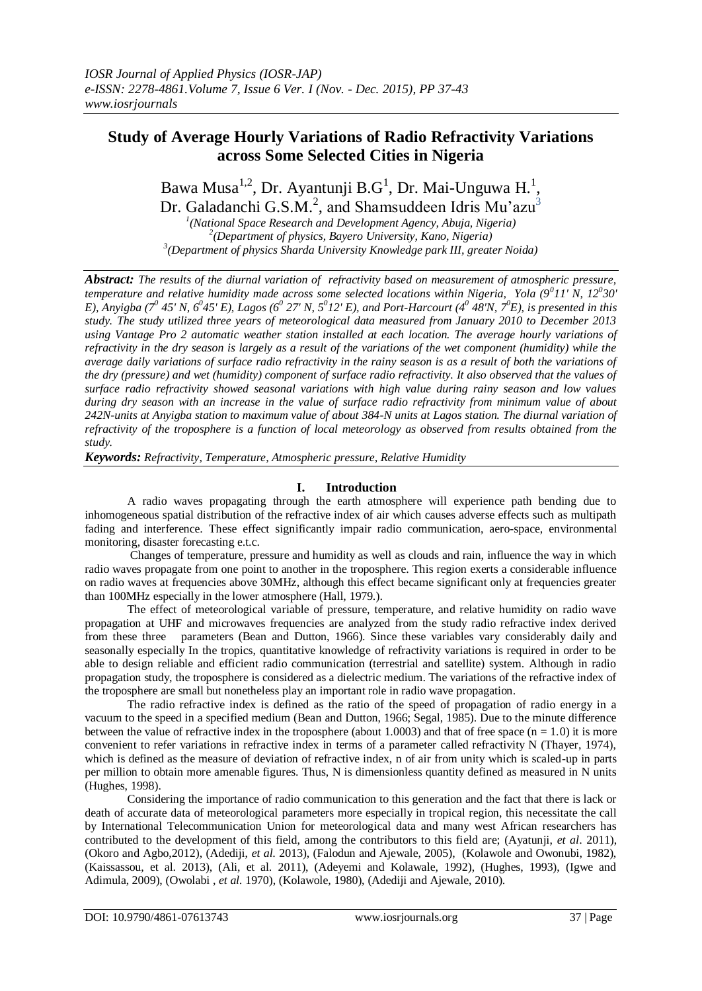# **Study of Average Hourly Variations of Radio Refractivity Variations across Some Selected Cities in Nigeria**

Bawa Musa<sup>1,2</sup>, Dr. Ayantunji B.G<sup>1</sup>, Dr. Mai-Unguwa H.<sup>1</sup>, Dr. Galadanchi G.S.M.<sup>2</sup>, and Shamsuddeen Idris Mu'azu<sup>3</sup>

*1 (National Space Research and Development Agency, Abuja, Nigeria) 2 (Department of physics, Bayero University, Kano, Nigeria) 3 (Department of physics Sharda University Knowledge park III, greater Noida)*

*Abstract: The results of the diurnal variation of refractivity based on measurement of atmospheric pressure, temperature and relative humidity made across some selected locations within Nigeria, Yola (9<sup>0</sup> 11' N, 12<sup>0</sup> 30'*  E), Anyigba ( $7^0$  45' N,  $6^0$ 45' E), Lagos ( $6^0$  27' N,  $5^0$ 12' E), and Port-Harcourt ( $4^0$  48'N,  $7^0$ E), is presented in this *study. The study utilized three years of meteorological data measured from January 2010 to December 2013 using Vantage Pro 2 automatic weather station installed at each location. The average hourly variations of refractivity in the dry season is largely as a result of the variations of the wet component (humidity) while the average daily variations of surface radio refractivity in the rainy season is as a result of both the variations of the dry (pressure) and wet (humidity) component of surface radio refractivity. It also observed that the values of surface radio refractivity showed seasonal variations with high value during rainy season and low values during dry season with an increase in the value of surface radio refractivity from minimum value of about 242N-units at Anyigba station to maximum value of about 384-N units at Lagos station. The diurnal variation of refractivity of the troposphere is a function of local meteorology as observed from results obtained from the study.*

*Keywords: Refractivity, Temperature, Atmospheric pressure, Relative Humidity*

# **I. Introduction**

A radio waves propagating through the earth atmosphere will experience path bending due to inhomogeneous spatial distribution of the refractive index of air which causes adverse effects such as multipath fading and interference. These effect significantly impair radio communication, aero-space, environmental monitoring, disaster forecasting e.t.c.

Changes of temperature, pressure and humidity as well as clouds and rain, influence the way in which radio waves propagate from one point to another in the troposphere. This region exerts a considerable influence on radio waves at frequencies above 30MHz, although this effect became significant only at frequencies greater than 100MHz especially in the lower atmosphere (Hall, 1979.).

The effect of meteorological variable of pressure, temperature, and relative humidity on radio wave propagation at UHF and microwaves frequencies are analyzed from the study radio refractive index derived from these three parameters (Bean and Dutton, 1966). Since these variables vary considerably daily and seasonally especially In the tropics, quantitative knowledge of refractivity variations is required in order to be able to design reliable and efficient radio communication (terrestrial and satellite) system. Although in radio propagation study, the troposphere is considered as a dielectric medium. The variations of the refractive index of the troposphere are small but nonetheless play an important role in radio wave propagation.

The radio refractive index is defined as the ratio of the speed of propagation of radio energy in a vacuum to the speed in a specified medium (Bean and Dutton, 1966; Segal, 1985). Due to the minute difference between the value of refractive index in the troposphere (about 1.0003) and that of free space  $(n = 1.0)$  it is more convenient to refer variations in refractive index in terms of a parameter called refractivity N (Thayer, 1974), which is defined as the measure of deviation of refractive index, n of air from unity which is scaled-up in parts per million to obtain more amenable figures. Thus, N is dimensionless quantity defined as measured in N units (Hughes, 1998).

Considering the importance of radio communication to this generation and the fact that there is lack or death of accurate data of meteorological parameters more especially in tropical region, this necessitate the call by International Telecommunication Union for meteorological data and many west African researchers has contributed to the development of this field, among the contributors to this field are; (Ayatunji, *et al*. 2011), (Okoro and Agbo,2012), (Adediji, *et al*. 2013), (Falodun and Ajewale, 2005), (Kolawole and Owonubi, 1982), (Kaissassou, et al. 2013), (Ali, et al. 2011), (Adeyemi and Kolawale, 1992), (Hughes, 1993), (Igwe and Adimula, 2009), (Owolabi , *et al.* 1970), (Kolawole, 1980), (Adediji and Ajewale, 2010).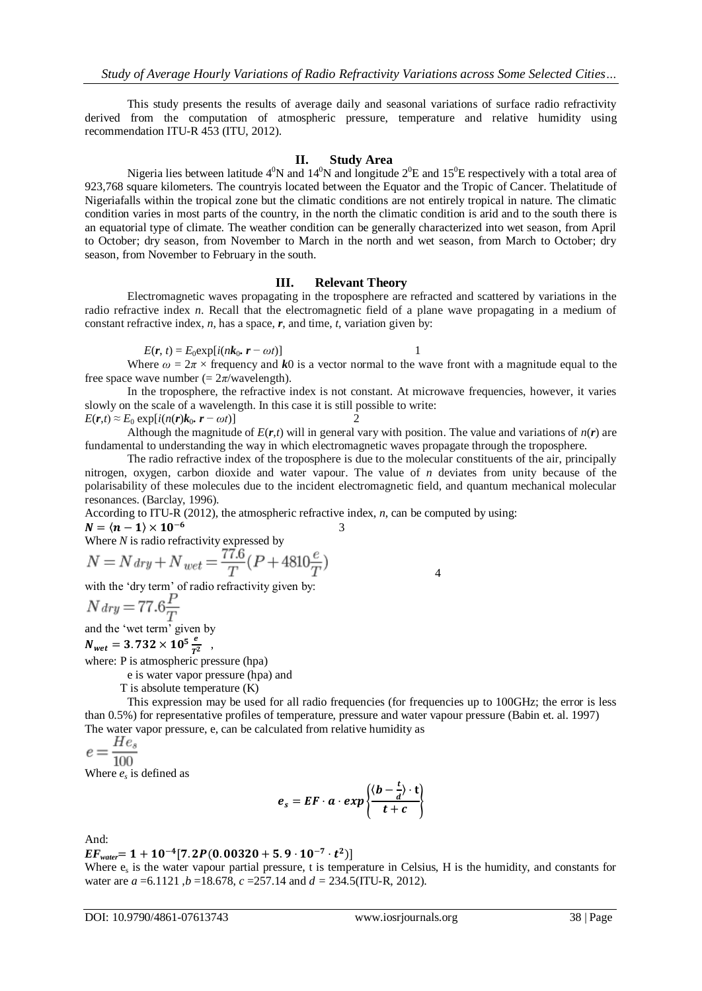This study presents the results of average daily and seasonal variations of surface radio refractivity derived from the computation of atmospheric pressure, temperature and relative humidity using recommendation ITU-R 453 (ITU, 2012).

### **II. Study Area**

Nigeria lies between latitude  $4^0N$  and  $14^0N$  and longitude  $2^0E$  and  $15^0E$  respectively with a total area of 923,768 square kilometers. The countryis located between the Equator and the Tropic of Cancer. Thelatitude of Nigeriafalls within the tropical zone but the climatic conditions are not entirely tropical in nature. The climatic condition varies in most parts of the country, in the north the climatic condition is arid and to the south there is an equatorial type of climate. The weather condition can be generally characterized into wet season, from April to October; dry season, from November to March in the north and wet season, from March to October; dry season, from November to February in the south.

### **III. Relevant Theory**

Electromagnetic waves propagating in the troposphere are refracted and scattered by variations in the radio refractive index *n*. Recall that the electromagnetic field of a plane wave propagating in a medium of constant refractive index, *n*, has a space, *r*, and time, *t*, variation given by:

$$
E(\mathbf{r}, t) = E_0 \exp[i(n\mathbf{k}_0, \mathbf{r} - \omega t)]
$$

Where  $\omega = 2\pi \times$  frequency and *k*0 is a vector normal to the wave front with a magnitude equal to the free space wave number  $(= 2\pi$ /wavelength).

In the troposphere, the refractive index is not constant. At microwave frequencies, however, it varies slowly on the scale of a wavelength. In this case it is still possible to write:

 $E(r,t) \approx E_0 \exp[i(n(r)k_0, r - \omega t)]$  2 Although the magnitude of  $E(r,t)$  will in general vary with position. The value and variations of  $n(r)$  are

fundamental to understanding the way in which electromagnetic waves propagate through the troposphere. The radio refractive index of the troposphere is due to the molecular constituents of the air, principally nitrogen, oxygen, carbon dioxide and water vapour. The value of *n* deviates from unity because of the polarisability of these molecules due to the incident electromagnetic field, and quantum mechanical molecular

resonances. (Barclay, 1996). According to ITU-R (2012), the atmospheric refractive index, *n*, can be computed by using:

$$
N=\langle n-1\rangle\times10^{-6}
$$

 3 Where *N* is radio refractivity expressed by

$$
N = N \, \text{dry} + N \, \text{wet} = \frac{77.6}{T} (P + 4810 \frac{e}{T})
$$

with the 'dry term' of radio refractivity given by:

$$
N \, \text{dry} = 77.6 \frac{P}{T}
$$

and the 'wet term' given by

 $N_{wet} = 3.732 \times 10^5 \frac{e}{r^2}$  $rac{e}{T^2}$ ,

where: P is atmospheric pressure (hpa)

e is water vapor pressure (hpa) and

T is absolute temperature (K)

This expression may be used for all radio frequencies (for frequencies up to 100GHz; the error is less than 0.5%) for representative profiles of temperature, pressure and water vapour pressure (Babin et. al. 1997) The water vapor pressure, e, can be calculated from relative humidity as  $e = \frac{He_s}{100}$ 

Where  $e_s$  is defined as

$$
e_s = EF \cdot a \cdot exp\left\{\frac{\langle b - \frac{t}{d} \rangle \cdot t}{t + c}\right\}
$$

And:

 $EF_{water}$ = 1 + 10<sup>-4</sup> [7.2P(0.00320 + 5.9  $\cdot$  10<sup>-7</sup>  $\cdot$  t<sup>2</sup>)

Where  $e_s$  is the water vapour partial pressure, t is temperature in Celsius, H is the humidity, and constants for water are *a* =6.1121 ,*b* =18.678, *c* =257.14 and *d =* 234.5(ITU-R, 2012).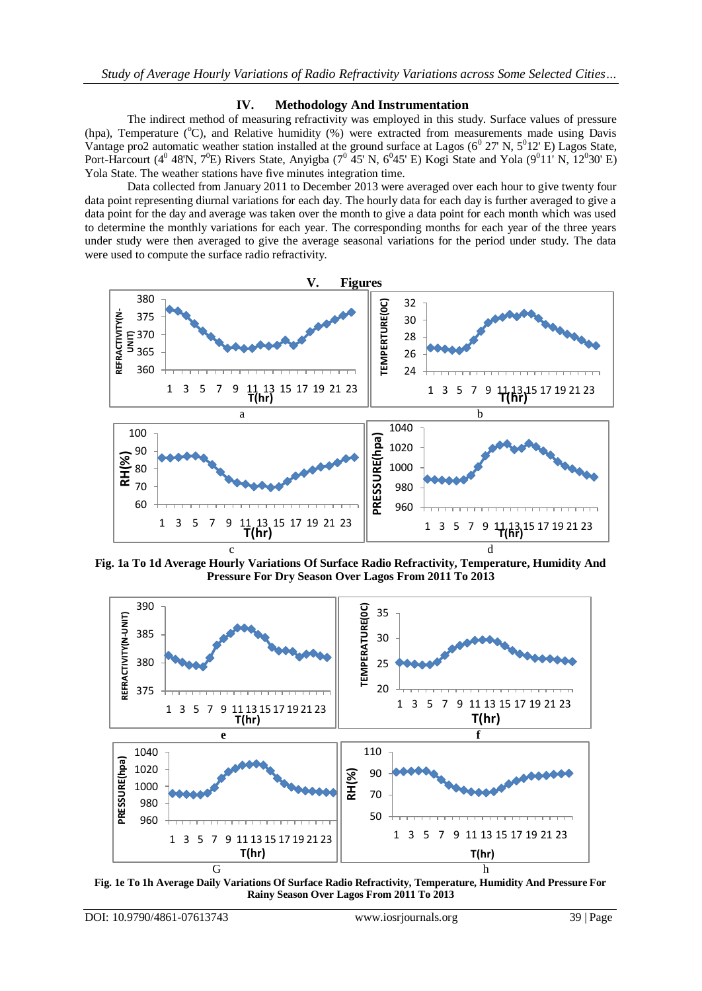## **IV. Methodology And Instrumentation**

The indirect method of measuring refractivity was employed in this study. Surface values of pressure (hpa), Temperature (°C), and Relative humidity (%) were extracted from measurements made using Davis Vantage pro2 automatic weather station installed at the ground surface at Lagos  $(6^0 27' N, 5^0 12' E)$  Lagos State, Port-Harcourt (4<sup>0</sup> 48'N, 7<sup>0</sup>E) Rivers State, Anyigba (7<sup>0</sup> 45' N, 6<sup>0</sup>45' E) Kogi State and Yola (9<sup>0</sup>11' N, 12<sup>0</sup>30' E) Yola State. The weather stations have five minutes integration time.

Data collected from January 2011 to December 2013 were averaged over each hour to give twenty four data point representing diurnal variations for each day. The hourly data for each day is further averaged to give a data point for the day and average was taken over the month to give a data point for each month which was used to determine the monthly variations for each year. The corresponding months for each year of the three years under study were then averaged to give the average seasonal variations for the period under study. The data were used to compute the surface radio refractivity.



**Fig. 1a To 1d Average Hourly Variations Of Surface Radio Refractivity, Temperature, Humidity And Pressure For Dry Season Over Lagos From 2011 To 2013**



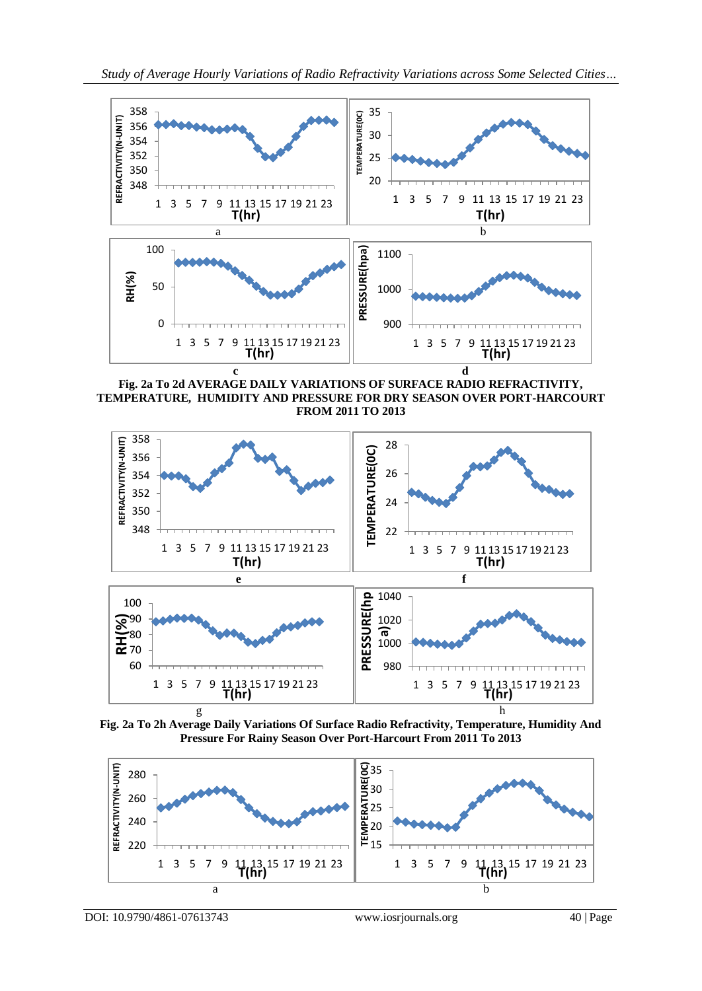

**Fig. 2a To 2d AVERAGE DAILY VARIATIONS OF SURFACE RADIO REFRACTIVITY, TEMPERATURE, HUMIDITY AND PRESSURE FOR DRY SEASON OVER PORT-HARCOURT FROM 2011 TO 2013**



**Fig. 2a To 2h Average Daily Variations Of Surface Radio Refractivity, Temperature, Humidity And Pressure For Rainy Season Over Port-Harcourt From 2011 To 2013**



DOI: 10.9790/4861-07613743 www.iosrjournals.org 40 | Page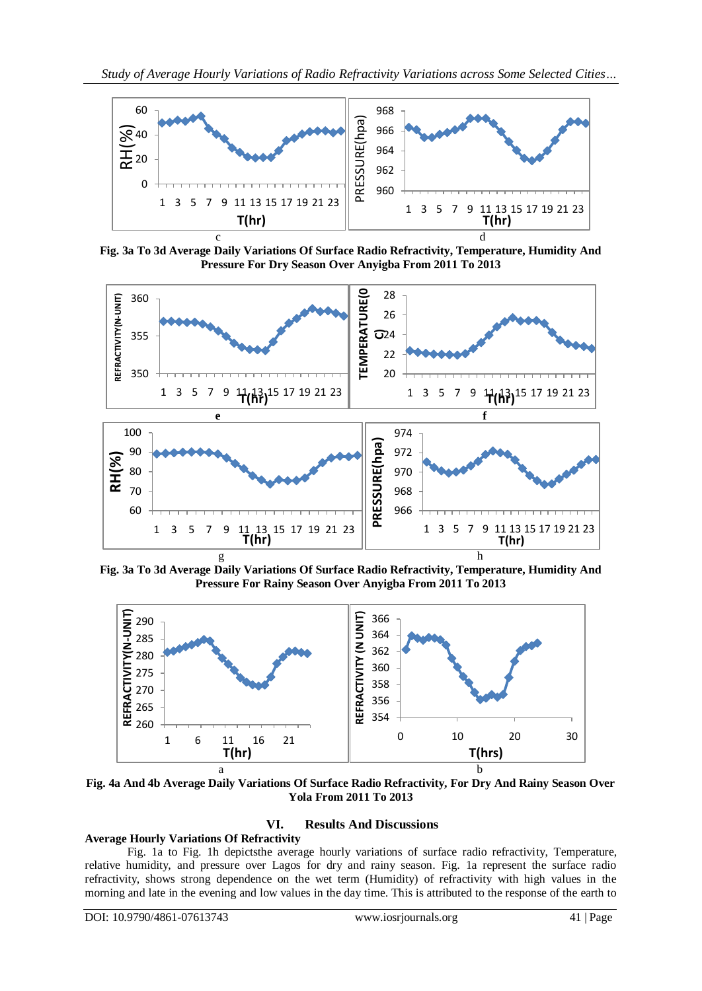

**Fig. 3a To 3d Average Daily Variations Of Surface Radio Refractivity, Temperature, Humidity And Pressure For Dry Season Over Anyigba From 2011 To 2013**



**Fig. 3a To 3d Average Daily Variations Of Surface Radio Refractivity, Temperature, Humidity And Pressure For Rainy Season Over Anyigba From 2011 To 2013**



**Fig. 4a And 4b Average Daily Variations Of Surface Radio Refractivity, For Dry And Rainy Season Over Yola From 2011 To 2013**

# **VI. Results And Discussions**

# **Average Hourly Variations Of Refractivity**

Fig. 1a to Fig. 1h depictsthe average hourly variations of surface radio refractivity, Temperature, relative humidity, and pressure over Lagos for dry and rainy season. Fig. 1a represent the surface radio refractivity, shows strong dependence on the wet term (Humidity) of refractivity with high values in the morning and late in the evening and low values in the day time. This is attributed to the response of the earth to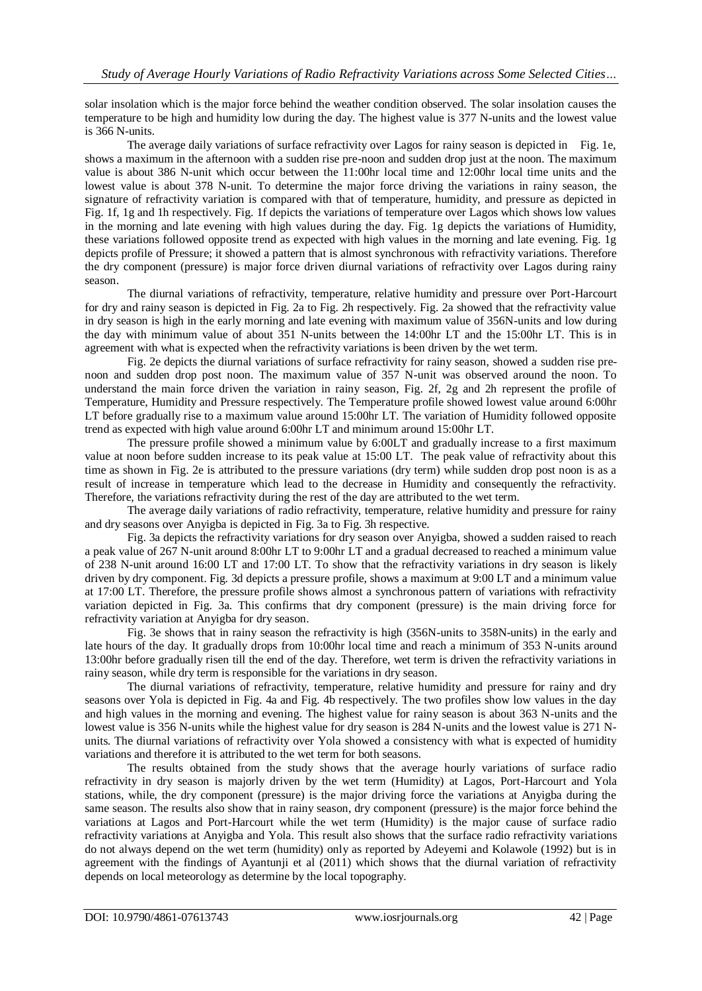solar insolation which is the major force behind the weather condition observed. The solar insolation causes the temperature to be high and humidity low during the day. The highest value is 377 N-units and the lowest value is 366 N-units.

The average daily variations of surface refractivity over Lagos for rainy season is depicted in Fig. 1e, shows a maximum in the afternoon with a sudden rise pre-noon and sudden drop just at the noon. The maximum value is about 386 N-unit which occur between the 11:00hr local time and 12:00hr local time units and the lowest value is about 378 N-unit. To determine the major force driving the variations in rainy season, the signature of refractivity variation is compared with that of temperature, humidity, and pressure as depicted in Fig. 1f, 1g and 1h respectively. Fig. 1f depicts the variations of temperature over Lagos which shows low values in the morning and late evening with high values during the day. Fig. 1g depicts the variations of Humidity, these variations followed opposite trend as expected with high values in the morning and late evening. Fig. 1g depicts profile of Pressure; it showed a pattern that is almost synchronous with refractivity variations. Therefore the dry component (pressure) is major force driven diurnal variations of refractivity over Lagos during rainy season.

The diurnal variations of refractivity, temperature, relative humidity and pressure over Port-Harcourt for dry and rainy season is depicted in Fig. 2a to Fig. 2h respectively. Fig. 2a showed that the refractivity value in dry season is high in the early morning and late evening with maximum value of 356N-units and low during the day with minimum value of about 351 N-units between the 14:00hr LT and the 15:00hr LT. This is in agreement with what is expected when the refractivity variations is been driven by the wet term.

Fig. 2e depicts the diurnal variations of surface refractivity for rainy season, showed a sudden rise prenoon and sudden drop post noon. The maximum value of 357 N-unit was observed around the noon. To understand the main force driven the variation in rainy season, Fig. 2f, 2g and 2h represent the profile of Temperature, Humidity and Pressure respectively. The Temperature profile showed lowest value around 6:00hr LT before gradually rise to a maximum value around 15:00hr LT. The variation of Humidity followed opposite trend as expected with high value around 6:00hr LT and minimum around 15:00hr LT.

The pressure profile showed a minimum value by 6:00LT and gradually increase to a first maximum value at noon before sudden increase to its peak value at 15:00 LT. The peak value of refractivity about this time as shown in Fig. 2e is attributed to the pressure variations (dry term) while sudden drop post noon is as a result of increase in temperature which lead to the decrease in Humidity and consequently the refractivity. Therefore, the variations refractivity during the rest of the day are attributed to the wet term.

The average daily variations of radio refractivity, temperature, relative humidity and pressure for rainy and dry seasons over Anyigba is depicted in Fig. 3a to Fig. 3h respective.

Fig. 3a depicts the refractivity variations for dry season over Anyigba, showed a sudden raised to reach a peak value of 267 N-unit around 8:00hr LT to 9:00hr LT and a gradual decreased to reached a minimum value of 238 N-unit around 16:00 LT and 17:00 LT. To show that the refractivity variations in dry season is likely driven by dry component. Fig. 3d depicts a pressure profile, shows a maximum at 9:00 LT and a minimum value at 17:00 LT. Therefore, the pressure profile shows almost a synchronous pattern of variations with refractivity variation depicted in Fig. 3a. This confirms that dry component (pressure) is the main driving force for refractivity variation at Anyigba for dry season.

Fig. 3e shows that in rainy season the refractivity is high (356N-units to 358N-units) in the early and late hours of the day. It gradually drops from 10:00hr local time and reach a minimum of 353 N-units around 13:00hr before gradually risen till the end of the day. Therefore, wet term is driven the refractivity variations in rainy season, while dry term is responsible for the variations in dry season.

The diurnal variations of refractivity, temperature, relative humidity and pressure for rainy and dry seasons over Yola is depicted in Fig. 4a and Fig. 4b respectively. The two profiles show low values in the day and high values in the morning and evening. The highest value for rainy season is about 363 N-units and the lowest value is 356 N-units while the highest value for dry season is 284 N-units and the lowest value is 271 Nunits. The diurnal variations of refractivity over Yola showed a consistency with what is expected of humidity variations and therefore it is attributed to the wet term for both seasons.

The results obtained from the study shows that the average hourly variations of surface radio refractivity in dry season is majorly driven by the wet term (Humidity) at Lagos, Port-Harcourt and Yola stations, while, the dry component (pressure) is the major driving force the variations at Anyigba during the same season. The results also show that in rainy season, dry component (pressure) is the major force behind the variations at Lagos and Port-Harcourt while the wet term (Humidity) is the major cause of surface radio refractivity variations at Anyigba and Yola. This result also shows that the surface radio refractivity variations do not always depend on the wet term (humidity) only as reported by Adeyemi and Kolawole (1992) but is in agreement with the findings of Ayantunji et al (2011) which shows that the diurnal variation of refractivity depends on local meteorology as determine by the local topography.